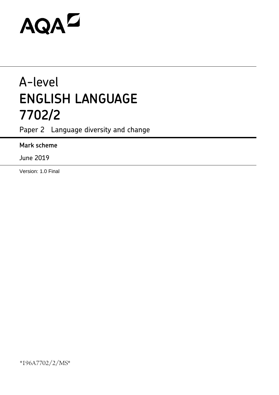# AQAZ

# A-level **ENGLISH LANGUAGE 7702/2**

Paper 2 Language diversity and change

# **Mark scheme**

June 2019

Version: 1.0 Final

\*196A7702/2/MS\*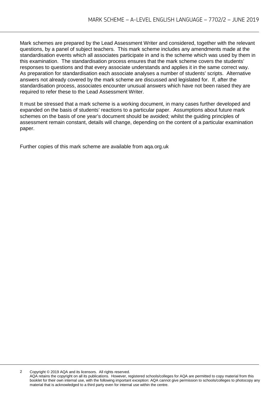Mark schemes are prepared by the Lead Assessment Writer and considered, together with the relevant questions, by a panel of subject teachers. This mark scheme includes any amendments made at the standardisation events which all associates participate in and is the scheme which was used by them in this examination. The standardisation process ensures that the mark scheme covers the students' responses to questions and that every associate understands and applies it in the same correct way. As preparation for standardisation each associate analyses a number of students' scripts. Alternative answers not already covered by the mark scheme are discussed and legislated for. If, after the standardisation process, associates encounter unusual answers which have not been raised they are required to refer these to the Lead Assessment Writer.

It must be stressed that a mark scheme is a working document, in many cases further developed and expanded on the basis of students' reactions to a particular paper. Assumptions about future mark schemes on the basis of one year's document should be avoided; whilst the guiding principles of assessment remain constant, details will change, depending on the content of a particular examination paper.

Further copies of this mark scheme are available from aqa.org.uk

2 Copyright © 2019 AQA and its licensors. All rights reserved.

AQA retains the copyright on all its publications. However, registered schools/colleges for AQA are permitted to copy material from this booklet for their own internal use, with the following important exception: AQA cannot give permission to schools/colleges to photocopy any material that is acknowledged to a third party even for internal use within the centre.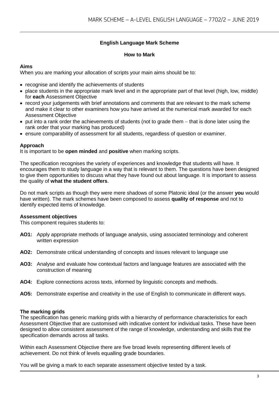### **English Language Mark Scheme**

#### **How to Mark**

#### **Aims**

When you are marking your allocation of scripts your main aims should be to:

- recognise and identify the achievements of students
- place students in the appropriate mark level and in the appropriate part of that level (high, low, middle) for **each** Assessment Objective
- record your judgements with brief annotations and comments that are relevant to the mark scheme and make it clear to other examiners how you have arrived at the numerical mark awarded for each Assessment Objective
- put into a rank order the achievements of students (not to grade them − that is done later using the rank order that your marking has produced)
- ensure comparability of assessment for all students, regardless of question or examiner.

#### **Approach**

It is important to be **open minded** and **positive** when marking scripts.

The specification recognises the variety of experiences and knowledge that students will have. It encourages them to study language in a way that is relevant to them. The questions have been designed to give them opportunities to discuss what they have found out about language. It is important to assess the quality of **what the student offers**.

Do not mark scripts as though they were mere shadows of some Platonic ideal (or the answer **you** would have written). The mark schemes have been composed to assess **quality of response** and not to identify expected items of knowledge.

#### **Assessment objectives**

This component requires students to:

- **AO1:** Apply appropriate methods of language analysis, using associated terminology and coherent written expression
- **AO2:** Demonstrate critical understanding of concepts and issues relevant to language use
- **AO3:** Analyse and evaluate how contextual factors and language features are associated with the construction of meaning
- **AO4:** Explore connections across texts, informed by linguistic concepts and methods.
- **AO5:** Demonstrate expertise and creativity in the use of English to communicate in different ways.

#### **The marking grids**

The specification has generic marking grids with a hierarchy of performance characteristics for each Assessment Objective that are customised with indicative content for individual tasks. These have been designed to allow consistent assessment of the range of knowledge, understanding and skills that the specification demands across all tasks.

Within each Assessment Objective there are five broad levels representing different levels of achievement. Do not think of levels equalling grade boundaries.

You will be giving a mark to each separate assessment objective tested by a task.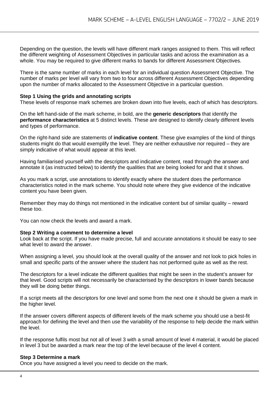Depending on the question, the levels will have different mark ranges assigned to them. This will reflect the different weighting of Assessment Objectives in particular tasks and across the examination as a whole. You may be required to give different marks to bands for different Assessment Objectives.

There is the same number of marks in each level for an individual question Assessment Objective. The number of marks per level will vary from two to four across different Assessment Objectives depending upon the number of marks allocated to the Assessment Objective in a particular question.

#### **Step 1 Using the grids and annotating scripts**

These levels of response mark schemes are broken down into five levels, each of which has descriptors.

On the left hand-side of the mark scheme, in bold, are the **generic descriptors** that identify the **performance characteristics** at 5 distinct levels. These are designed to identify clearly different levels and types of performance.

On the right-hand side are statements of **indicative content**. These give examples of the kind of things students might do that would exemplify the level. They are neither exhaustive nor required – they are simply indicative of what would appear at this level.

Having familiarised yourself with the descriptors and indicative content, read through the answer and annotate it (as instructed below) to identify the qualities that are being looked for and that it shows.

As you mark a script, use annotations to identify exactly where the student does the performance characteristics noted in the mark scheme. You should note where they give evidence of the indicative content you have been given.

Remember they may do things not mentioned in the indicative content but of similar quality – reward these too.

You can now check the levels and award a mark.

#### **Step 2 Writing a comment to determine a level**

Look back at the script. If you have made precise, full and accurate annotations it should be easy to see what level to award the answer.

When assigning a level, you should look at the overall quality of the answer and not look to pick holes in small and specific parts of the answer where the student has not performed quite as well as the rest.

The descriptors for a level indicate the different qualities that might be seen in the student's answer for that level. Good scripts will not necessarily be characterised by the descriptors in lower bands because they will be doing better things.

If a script meets all the descriptors for one level and some from the next one it should be given a mark in the higher level.

If the answer covers different aspects of different levels of the mark scheme you should use a best-fit approach for defining the level and then use the variability of the response to help decide the mark within the level.

If the response fulfils most but not all of level 3 with a small amount of level 4 material, it would be placed in level 3 but be awarded a mark near the top of the level because of the level 4 content.

#### **Step 3 Determine a mark**

Once you have assigned a level you need to decide on the mark.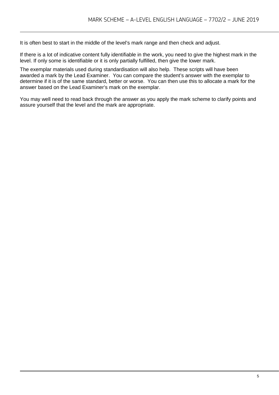It is often best to start in the middle of the level's mark range and then check and adjust.

If there is a lot of indicative content fully identifiable in the work, you need to give the highest mark in the level. If only some is identifiable or it is only partially fulfilled, then give the lower mark.

The exemplar materials used during standardisation will also help. These scripts will have been awarded a mark by the Lead Examiner. You can compare the student's answer with the exemplar to determine if it is of the same standard, better or worse. You can then use this to allocate a mark for the answer based on the Lead Examiner's mark on the exemplar.

You may well need to read back through the answer as you apply the mark scheme to clarify points and assure yourself that the level and the mark are appropriate.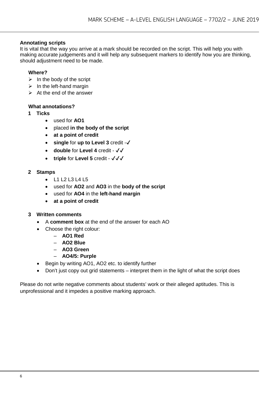#### **Annotating scripts**

It is vital that the way you arrive at a mark should be recorded on the script. This will help you with making accurate judgements and it will help any subsequent markers to identify how you are thinking, should adjustment need to be made.

#### **Where?**

- $\triangleright$  In the body of the script
- $\triangleright$  In the left-hand margin
- $\triangleright$  At the end of the answer

#### **What annotations?**

- **1 Ticks** 
	- used for **AO1**
	- placed **in the body of the script**
	- **at a point of credit**
	- **single** for **up to Level 3** credit -✔
	- **double** for **Level 4** credit ✔✔
	- **triple** for **Level 5** credit ✔✔✔

#### **2 Stamps**

- L1 L2 L3 L4 L5
- used for **AO2** and **AO3** in the **body of the script**
- used for **AO4** in the **left-hand margin**
- **at a point of credit**

#### **3 Written comments**

- A **comment box** at the end of the answer for each AO
- Choose the right colour:
	- **AO1 Red**
	- **AO2 Blue**
	- **AO3 Green**
	- **AO4/5: Purple**
- Begin by writing AO1, AO2 etc. to identify further
- Don't just copy out grid statements interpret them in the light of what the script does

Please do not write negative comments about students' work or their alleged aptitudes. This is unprofessional and it impedes a positive marking approach.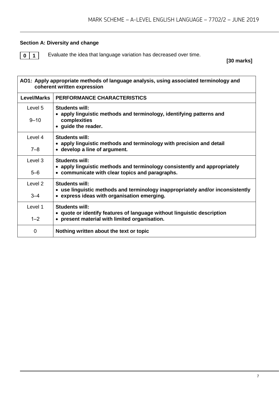#### **Section A: Diversity and change**

**0** 1 Evaluate the idea that language variation has decreased over time.

**[30 marks]**

| AO1: Apply appropriate methods of language analysis, using associated terminology and<br>coherent written expression |                                                                                                                                                        |  |
|----------------------------------------------------------------------------------------------------------------------|--------------------------------------------------------------------------------------------------------------------------------------------------------|--|
| <b>Level/Marks</b>                                                                                                   | <b>PERFORMANCE CHARACTERISTICS</b>                                                                                                                     |  |
| Level 5<br>$9 - 10$                                                                                                  | Students will:<br>• apply linguistic methods and terminology, identifying patterns and<br>complexities<br>• guide the reader.                          |  |
| Level 4<br>$7 - 8$                                                                                                   | Students will:<br>• apply linguistic methods and terminology with precision and detail<br>• develop a line of argument.                                |  |
| Level 3<br>$5 - 6$                                                                                                   | Students will:<br>• apply linguistic methods and terminology consistently and appropriately<br>• communicate with clear topics and paragraphs.         |  |
| Level 2<br>$3 - 4$                                                                                                   | <b>Students will:</b><br>• use linguistic methods and terminology inappropriately and/or inconsistently<br>• express ideas with organisation emerging. |  |
| Level 1<br>$1 - 2$                                                                                                   | Students will:<br>• quote or identify features of language without linguistic description<br>• present material with limited organisation.             |  |
| 0                                                                                                                    | Nothing written about the text or topic                                                                                                                |  |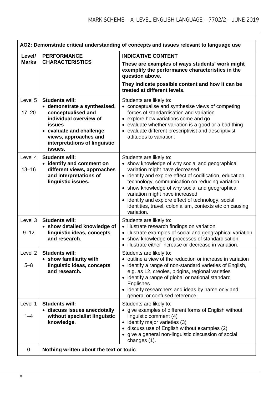| AO2: Demonstrate critical understanding of concepts and issues relevant to language use |                                                                                                                                                                                                                  |                                                                                                                                                                                                                                                                                                                                                                                                                                                    |
|-----------------------------------------------------------------------------------------|------------------------------------------------------------------------------------------------------------------------------------------------------------------------------------------------------------------|----------------------------------------------------------------------------------------------------------------------------------------------------------------------------------------------------------------------------------------------------------------------------------------------------------------------------------------------------------------------------------------------------------------------------------------------------|
| Level/<br><b>Marks</b>                                                                  | <b>PERFORMANCE</b><br><b>CHARACTERISTICS</b>                                                                                                                                                                     | <b>INDICATIVE CONTENT</b><br>These are examples of ways students' work might<br>exemplify the performance characteristics in the<br>question above.<br>They indicate possible content and how it can be<br>treated at different levels.                                                                                                                                                                                                            |
| Level 5<br>$17 - 20$                                                                    | <b>Students will:</b><br>• demonstrate a synthesised,<br>conceptualised and<br>individual overview of<br>issues<br>• evaluate and challenge<br>views, approaches and<br>interpretations of linguistic<br>issues. | Students are likely to:<br>• conceptualise and synthesise views of competing<br>forces of standardisation and variation<br>• explore how variations come and go<br>• evaluate whether variation is a good or a bad thing<br>• evaluate different prescriptivist and descriptivist<br>attitudes to variation.                                                                                                                                       |
| Level 4<br>$13 - 16$                                                                    | <b>Students will:</b><br>• identify and comment on<br>different views, approaches<br>and interpretations of<br>linguistic issues.                                                                                | Students are likely to:<br>• show knowledge of why social and geographical<br>variation might have decreased<br>• identify and explore effect of codification, education,<br>technology, communication on reducing variation<br>• show knowledge of why social and geographical<br>variation might have increased<br>• identify and explore effect of technology, social<br>identities, travel, colonialism, contexts etc on causing<br>variation. |
| Level 3<br>$9 - 12$                                                                     | <b>Students will:</b><br>• show detailed knowledge of<br>linguistic ideas, concepts<br>and research.                                                                                                             | Students are likely to:<br>• illustrate research findings on variation<br>• illustrate examples of social and geographical variation<br>• show knowledge of processes of standardisation<br>• illustrate either increase or decrease in variation.                                                                                                                                                                                                 |
| Level <sub>2</sub><br>$5 - 8$                                                           | <b>Students will:</b><br>• show familiarity with<br>linguistic ideas, concepts<br>and research.                                                                                                                  | Students are likely to:<br>• outline a view of the reduction or increase in variation<br>identify a range of non-standard varieties of English,<br>e.g. as L2, creoles, pidgins, regional varieties<br>• identify a range of global or national standard<br><b>Englishes</b><br>• identify researchers and ideas by name only and<br>general or confused reference.                                                                                |
| Level 1<br>$1 - 4$                                                                      | <b>Students will:</b><br>• discuss issues anecdotally<br>without specialist linguistic<br>knowledge.                                                                                                             | Students are likely to:<br>• give examples of different forms of English without<br>linguistic comment (4)<br>• identify major varieties (3)<br>• discuss use of English without examples (2)<br>give a general non-linguistic discussion of social<br>changes (1).                                                                                                                                                                                |
| 0                                                                                       | Nothing written about the text or topic                                                                                                                                                                          |                                                                                                                                                                                                                                                                                                                                                                                                                                                    |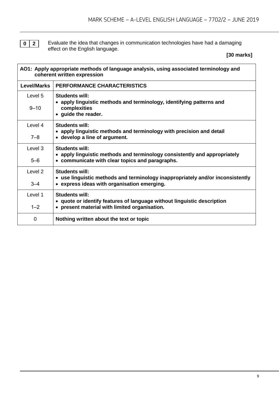**0** | **2** | Evaluate the idea that changes in communication technologies have had a damaging effect on the English language.

**[30 marks]**

| AO1: Apply appropriate methods of language analysis, using associated terminology and<br>coherent written expression |                                                                                                                               |  |
|----------------------------------------------------------------------------------------------------------------------|-------------------------------------------------------------------------------------------------------------------------------|--|
| <b>Level/Marks</b>                                                                                                   | PERFORMANCE CHARACTERISTICS                                                                                                   |  |
| Level 5                                                                                                              | <b>Students will:</b>                                                                                                         |  |
| $9 - 10$                                                                                                             | • apply linguistic methods and terminology, identifying patterns and<br>complexities<br>• guide the reader.                   |  |
| Level 4                                                                                                              | <b>Students will:</b>                                                                                                         |  |
| $7 - 8$                                                                                                              | • apply linguistic methods and terminology with precision and detail<br>• develop a line of argument.                         |  |
| Level 3                                                                                                              | <b>Students will:</b>                                                                                                         |  |
| $5 - 6$                                                                                                              | • apply linguistic methods and terminology consistently and appropriately<br>• communicate with clear topics and paragraphs.  |  |
| Level 2                                                                                                              | <b>Students will:</b>                                                                                                         |  |
| $3 - 4$                                                                                                              | • use linguistic methods and terminology inappropriately and/or inconsistently<br>• express ideas with organisation emerging. |  |
| Level 1                                                                                                              | <b>Students will:</b>                                                                                                         |  |
| $1 - 2$                                                                                                              | • quote or identify features of language without linguistic description<br>• present material with limited organisation.      |  |
| 0                                                                                                                    | Nothing written about the text or topic                                                                                       |  |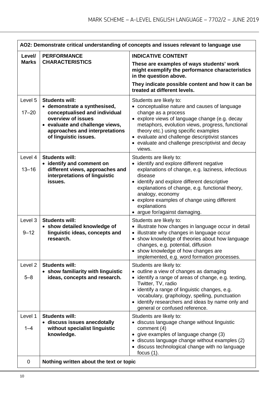| AO2: Demonstrate critical understanding of concepts and issues relevant to language use |                                                                                                                                                                                                            |                                                                                                                                                                                                                                                                                                                                                                |
|-----------------------------------------------------------------------------------------|------------------------------------------------------------------------------------------------------------------------------------------------------------------------------------------------------------|----------------------------------------------------------------------------------------------------------------------------------------------------------------------------------------------------------------------------------------------------------------------------------------------------------------------------------------------------------------|
| Level/                                                                                  | <b>PERFORMANCE</b><br><b>Marks</b><br><b>CHARACTERISTICS</b>                                                                                                                                               | <b>INDICATIVE CONTENT</b>                                                                                                                                                                                                                                                                                                                                      |
|                                                                                         |                                                                                                                                                                                                            | These are examples of ways students' work<br>might exemplify the performance characteristics<br>in the question above.                                                                                                                                                                                                                                         |
|                                                                                         |                                                                                                                                                                                                            | They indicate possible content and how it can be<br>treated at different levels.                                                                                                                                                                                                                                                                               |
| Level 5<br>$17 - 20$                                                                    | <b>Students will:</b><br>• demonstrate a synthesised,<br>conceptualised and individual<br>overview of issues<br>• evaluate and challenge views,<br>approaches and interpretations<br>of linguistic issues. | Students are likely to:<br>• conceptualise nature and causes of language<br>change as a process<br>• explore views of language change (e.g. decay<br>metaphors, evolution views, progress, functional<br>theory etc.) using specific examples<br>• evaluate and challenge descriptivist stances<br>• evaluate and challenge prescriptivist and decay<br>views. |
| Level 4<br>$13 - 16$                                                                    | <b>Students will:</b><br>• identify and comment on<br>different views, approaches and<br>interpretations of linguistic<br>issues.                                                                          | Students are likely to:<br>• identify and explore different negative<br>explanations of change, e.g. laziness, infectious<br>disease<br>• identify and explore different descriptive<br>explanations of change, e.g. functional theory,<br>analogy, economy<br>• explore examples of change using different<br>explanations<br>• argue for/against damaging.   |
| Level 3<br>$9 - 12$                                                                     | <b>Students will:</b><br>• show detailed knowledge of<br>linguistic ideas, concepts and<br>research.                                                                                                       | Students are likely to:<br>• illustrate how changes in language occur in detail<br>• illustrate why changes in language occur<br>show knowledge of theories about how language<br>changes, e.g. potential, diffusion<br>• show knowledge of how changes are<br>implemented, e.g. word formation processes.                                                     |
| Level <sub>2</sub><br>$5 - 8$                                                           | <b>Students will:</b><br>• show familiarity with linguistic<br>ideas, concepts and research.                                                                                                               | Students are likely to:<br>• outline a view of changes as damaging<br>• identify a range of areas of change, e.g. texting,<br>Twitter, TV, radio<br>• identify a range of linguistic changes, e.g.<br>vocabulary, graphology, spelling, punctuation<br>• identify researchers and ideas by name only and<br>general or confused reference.                     |
| Level 1<br>$1 - 4$                                                                      | <b>Students will:</b><br>• discuss issues anecdotally<br>without specialist linguistic<br>knowledge.                                                                                                       | Students are likely to:<br>· discuss language change without linguistic<br>comment (4)<br>give examples of language change (3)<br>• discuss language change without examples (2)<br>• discuss technological change with no language<br>focus $(1)$ .                                                                                                           |
| 0                                                                                       | Nothing written about the text or topic                                                                                                                                                                    |                                                                                                                                                                                                                                                                                                                                                                |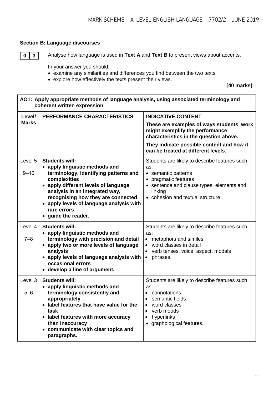## **Section B: Language discourses**

**0** 3 Analyse how language is used in Text A and Text B to present views about accents.

In your answer you should:

- examine any similarities and differences you find between the two texts
- explore how effectively the texts present their views.

**[40 marks]**

| AO1: Apply appropriate methods of language analysis, using associated terminology and<br>coherent written expression |                                                                                                                                                                                                                                                                                                                    |                                                                                                                                                                                                                                         |
|----------------------------------------------------------------------------------------------------------------------|--------------------------------------------------------------------------------------------------------------------------------------------------------------------------------------------------------------------------------------------------------------------------------------------------------------------|-----------------------------------------------------------------------------------------------------------------------------------------------------------------------------------------------------------------------------------------|
| Level/<br><b>Marks</b>                                                                                               | PERFORMANCE CHARACTERISTICS                                                                                                                                                                                                                                                                                        | <b>INDICATIVE CONTENT</b><br>These are examples of ways students' work<br>might exemplify the performance<br>characteristics in the question above.<br>They indicate possible content and how it<br>can be treated at different levels. |
| Level 5<br>$9 - 10$                                                                                                  | <b>Students will:</b><br>• apply linguistic methods and<br>terminology, identifying patterns and<br>complexities<br>• apply different levels of language<br>analysis in an integrated way,<br>recognising how they are connected<br>• apply levels of language analysis with<br>rare errors<br>• guide the reader. | Students are likely to describe features such<br>as:<br>• semantic patterns<br>• pragmatic features<br>• sentence and clause types, elements and<br>linking<br>• cohesion and textual structure.                                        |
| Level 4<br>$7 - 8$                                                                                                   | <b>Students will:</b><br>• apply linguistic methods and<br>terminology with precision and detail<br>• apply two or more levels of language<br>analysis<br>• apply levels of language analysis with<br>occasional errors<br>• develop a line of argument.                                                           | Students are likely to describe features such<br>as:<br>• metaphors and similes<br>word classes in detail<br>$\bullet$<br>verb tenses, voice, aspect, modals<br>$\bullet$<br>phrases.<br>$\bullet$                                      |
| Level 3<br>$5-6$                                                                                                     | Students will:<br>• apply linguistic methods and<br>terminology consistently and<br>appropriately<br>• label features that have value for the<br>task<br>• label features with more accuracy<br>than inaccuracy<br>• communicate with clear topics and<br>paragraphs.                                              | Students are likely to describe features such<br>as:<br>connotations<br>semantic fields<br>$\bullet$<br>word classes<br>$\bullet$<br>verb moods<br>$\bullet$<br>hyperlinks<br>$\bullet$<br>• graphological features.                    |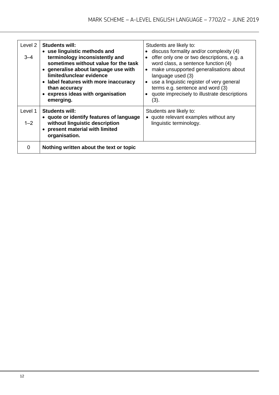| Level 2<br>$3 - 4$ | <b>Students will:</b><br>• use linguistic methods and<br>terminology inconsistently and<br>sometimes without value for the task<br>• generalise about language use with<br>limited/unclear evidence<br>• label features with more inaccuracy<br>than accuracy<br>• express ideas with organisation<br>emerging. | Students are likely to:<br>discuss formality and/or complexity (4)<br>offer only one or two descriptions, e.g. a<br>$\bullet$<br>word class, a sentence function (4)<br>make unsupported generalisations about<br>$\bullet$<br>language used (3)<br>use a linguistic register of very general<br>terms e.g. sentence and word (3)<br>quote imprecisely to illustrate descriptions<br>(3). |
|--------------------|-----------------------------------------------------------------------------------------------------------------------------------------------------------------------------------------------------------------------------------------------------------------------------------------------------------------|-------------------------------------------------------------------------------------------------------------------------------------------------------------------------------------------------------------------------------------------------------------------------------------------------------------------------------------------------------------------------------------------|
| Level 1<br>$1 - 2$ | <b>Students will:</b><br>• quote or identify features of language<br>without linguistic description<br>• present material with limited<br>organisation.                                                                                                                                                         | Students are likely to:<br>• quote relevant examples without any<br>linguistic terminology.                                                                                                                                                                                                                                                                                               |
| $\Omega$           | Nothing written about the text or topic                                                                                                                                                                                                                                                                         |                                                                                                                                                                                                                                                                                                                                                                                           |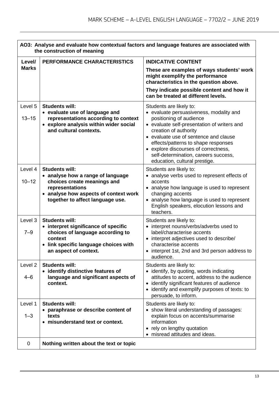| AO3: Analyse and evaluate how contextual factors and language features are associated with<br>the construction of meaning |                                                                                                                                                                                           |                                                                                                                                                                                                                                                                                                                                                                        |
|---------------------------------------------------------------------------------------------------------------------------|-------------------------------------------------------------------------------------------------------------------------------------------------------------------------------------------|------------------------------------------------------------------------------------------------------------------------------------------------------------------------------------------------------------------------------------------------------------------------------------------------------------------------------------------------------------------------|
| Level/                                                                                                                    | PERFORMANCE CHARACTERISTICS                                                                                                                                                               | <b>INDICATIVE CONTENT</b>                                                                                                                                                                                                                                                                                                                                              |
| <b>Marks</b>                                                                                                              |                                                                                                                                                                                           | These are examples of ways students' work<br>might exemplify the performance<br>characteristics in the question above.                                                                                                                                                                                                                                                 |
|                                                                                                                           |                                                                                                                                                                                           | They indicate possible content and how it<br>can be treated at different levels.                                                                                                                                                                                                                                                                                       |
| Level 5<br>$13 - 15$                                                                                                      | <b>Students will:</b><br>• evaluate use of language and<br>representations according to context<br>• explore analysis within wider social<br>and cultural contexts.                       | Students are likely to:<br>• evaluate persuasiveness, modality and<br>positioning of audience<br>• evaluate self-presentation of writers and<br>creation of authority<br>• evaluate use of sentence and clause<br>effects/patterns to shape responses<br>• explore discourses of correctness,<br>self-determination, careers success,<br>education, cultural prestige. |
| Level 4<br>$10 - 12$                                                                                                      | <b>Students will:</b><br>• analyse how a range of language<br>choices create meanings and<br>representations<br>• analyse how aspects of context work<br>together to affect language use. | Students are likely to:<br>• analyse verbs used to represent effects of<br>accents<br>• analyse how language is used to represent<br>changing accents<br>• analyse how language is used to represent<br>English speakers, elocution lessons and<br>teachers.                                                                                                           |
| Level 3<br>$7 - 9$                                                                                                        | <b>Students will:</b><br>• interpret significance of specific<br>choices of language according to<br>context<br>• link specific language choices with<br>an aspect of context.            | Students are likely to:<br>• interpret nouns/verbs/adverbs used to<br>label/characterise accents<br>• interpret adjectives used to describe/<br>characterise accents<br>interpret 1st, 2nd and 3rd person address to<br>audience.                                                                                                                                      |
| Level <sub>2</sub><br>4–6                                                                                                 | <b>Students will:</b><br>• identify distinctive features of<br>language and significant aspects of<br>context.                                                                            | Students are likely to:<br>• identify, by quoting, words indicating<br>attitudes to accent, address to the audience<br>identify significant features of audience<br>$\bullet$<br>• identify and exemplify purposes of texts: to<br>persuade, to inform.                                                                                                                |
| Level 1<br>$1 - 3$                                                                                                        | <b>Students will:</b><br>• paraphrase or describe content of<br>texts<br>• misunderstand text or context.                                                                                 | Students are likely to:<br>• show literal understanding of passages:<br>explain focus on accents/summarise<br>information<br>rely on lengthy quotation<br>$\bullet$<br>• misread attitudes and ideas.                                                                                                                                                                  |
| $\mathbf 0$                                                                                                               | Nothing written about the text or topic                                                                                                                                                   |                                                                                                                                                                                                                                                                                                                                                                        |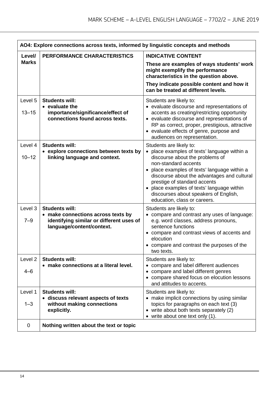| AO4: Explore connections across texts, informed by linguistic concepts and methods |                                                                                                                                      |                                                                                                                                                                                                                                                                                                                                                             |
|------------------------------------------------------------------------------------|--------------------------------------------------------------------------------------------------------------------------------------|-------------------------------------------------------------------------------------------------------------------------------------------------------------------------------------------------------------------------------------------------------------------------------------------------------------------------------------------------------------|
| Level/                                                                             | <b>PERFORMANCE CHARACTERISTICS</b>                                                                                                   | <b>INDICATIVE CONTENT</b>                                                                                                                                                                                                                                                                                                                                   |
| <b>Marks</b>                                                                       |                                                                                                                                      | These are examples of ways students' work<br>might exemplify the performance<br>characteristics in the question above.<br>They indicate possible content and how it<br>can be treated at different levels.                                                                                                                                                  |
|                                                                                    |                                                                                                                                      |                                                                                                                                                                                                                                                                                                                                                             |
| Level 5<br>$13 - 15$                                                               | <b>Students will:</b><br>• evaluate the<br>importance/significance/effect of<br>connections found across texts.                      | Students are likely to:<br>• evaluate discourse and representations of<br>accents as creating/restricting opportunity<br>• evaluate discourse and representations of<br>RP as correct, proper, prestigious, attractive<br>• evaluate effects of genre, purpose and<br>audiences on representation.                                                          |
| Level 4                                                                            | <b>Students will:</b>                                                                                                                | Students are likely to:                                                                                                                                                                                                                                                                                                                                     |
| $10 - 12$                                                                          | • explore connections between texts by<br>linking language and context.                                                              | • place examples of texts' language within a<br>discourse about the problems of<br>non-standard accents<br>• place examples of texts' language within a<br>discourse about the advantages and cultural<br>prestige of standard accents<br>place examples of texts' language within<br>discourses about speakers of English,<br>education, class or careers. |
| Level 3<br>$7 - 9$                                                                 | <b>Students will:</b><br>• make connections across texts by<br>identifying similar or different uses of<br>language/content/context. | Students are likely to:<br>• compare and contrast any uses of language:<br>e.g. word classes, address pronouns,<br>sentence functions<br>compare and contrast views of accents and<br>elocution<br>• compare and contrast the purposes of the<br>two texts.                                                                                                 |
| Level <sub>2</sub><br>$4 - 6$                                                      | <b>Students will:</b><br>• make connections at a literal level.                                                                      | Students are likely to:<br>• compare and label different audiences<br>• compare and label different genres<br>• compare shared focus on elocution lessons<br>and attitudes to accents.                                                                                                                                                                      |
| Level 1<br>$1 - 3$                                                                 | <b>Students will:</b><br>• discuss relevant aspects of texts<br>without making connections<br>explicitly.                            | Students are likely to:<br>• make implicit connections by using similar<br>topics for paragraphs on each text (3)<br>• write about both texts separately (2)<br>• write about one text only (1).                                                                                                                                                            |
| $\mathbf 0$                                                                        | Nothing written about the text or topic                                                                                              |                                                                                                                                                                                                                                                                                                                                                             |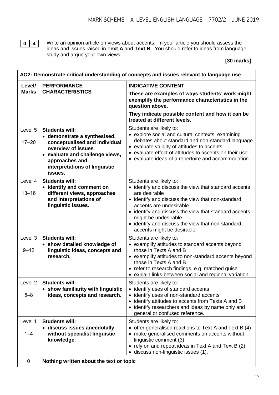**0 4** Write an opinion article on views about accents. In your article you should assess the ideas and issues raised in **Text A** and **Text B**. You should refer to ideas from language study and argue your own views.

**[30 marks]**

| AO2: Demonstrate critical understanding of concepts and issues relevant to language use |                                                                                                                                                                                                               |                                                                                                                                                                                                                                                                                                                                                        |  |
|-----------------------------------------------------------------------------------------|---------------------------------------------------------------------------------------------------------------------------------------------------------------------------------------------------------------|--------------------------------------------------------------------------------------------------------------------------------------------------------------------------------------------------------------------------------------------------------------------------------------------------------------------------------------------------------|--|
| Level/                                                                                  | <b>PERFORMANCE</b>                                                                                                                                                                                            | <b>INDICATIVE CONTENT</b>                                                                                                                                                                                                                                                                                                                              |  |
| <b>Marks</b>                                                                            | <b>CHARACTERISTICS</b>                                                                                                                                                                                        | These are examples of ways students' work might<br>exemplify the performance characteristics in the<br>question above.                                                                                                                                                                                                                                 |  |
|                                                                                         |                                                                                                                                                                                                               | They indicate possible content and how it can be<br>treated at different levels.                                                                                                                                                                                                                                                                       |  |
| Level 5<br>$17 - 20$                                                                    | <b>Students will:</b><br>• demonstrate a synthesised,<br>conceptualised and individual<br>overview of issues<br>• evaluate and challenge views,<br>approaches and<br>interpretations of linguistic<br>issues. | Students are likely to:<br>• explore social and cultural contexts, examining<br>debates about standard and non-standard language<br>• evaluate validity of attitudes to accents<br>• evaluate effect of attitudes to accents on their use<br>• evaluate ideas of a repertoire and accommodation.                                                       |  |
| Level 4<br>$13 - 16$                                                                    | <b>Students will:</b><br>• identify and comment on<br>different views, approaches<br>and interpretations of<br>linguistic issues.                                                                             | Students are likely to:<br>• identify and discuss the view that standard accents<br>are desirable<br>• identify and discuss the view that non-standard<br>accents are undesirable<br>• identify and discuss the view that standard accents<br>might be undesirable<br>• identify and discuss the view that non-standard<br>accents might be desirable. |  |
| Level 3<br>$9 - 12$                                                                     | <b>Students will:</b><br>• show detailed knowledge of<br>linguistic ideas, concepts and<br>research.                                                                                                          | Students are likely to:<br>• exemplify attitudes to standard accents beyond<br>those in Texts A and B<br>• exemplify attitudes to non-standard accents beyond<br>those in Texts A and B<br>• refer to research findings, e.g. matched guise<br>• explain links between social and regional variation.                                                  |  |
| Level <sub>2</sub><br>$5 - 8$                                                           | <b>Students will:</b><br>• show familiarity with linguistic<br>ideas, concepts and research.                                                                                                                  | Students are likely to:<br>identify uses of standard accents<br>identify uses of non-standard accents<br>identify attitudes to accents from Texts A and B<br>identify researchers and ideas by name only and<br>general or confused reference.                                                                                                         |  |
| Level 1<br>$1 - 4$                                                                      | <b>Students will:</b><br>· discuss issues anecdotally<br>without specialist linguistic<br>knowledge.                                                                                                          | Students are likely to:<br>• offer generalised reactions to Text A and Text B (4)<br>• make generalised comments on accents without<br>linguistic comment (3)<br>• rely on and repeat ideas in Text A and Text B (2)<br>discuss non-linguistic issues (1).                                                                                             |  |
| 0                                                                                       | Nothing written about the text or topic                                                                                                                                                                       |                                                                                                                                                                                                                                                                                                                                                        |  |